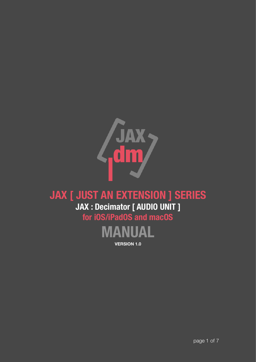

# **JAX [ JUST AN EXTENSION ] SERIES JAX : Decimator [ AUDIO UNIT ] for iOS/iPadOS and macOS**



**VERSION 1.0**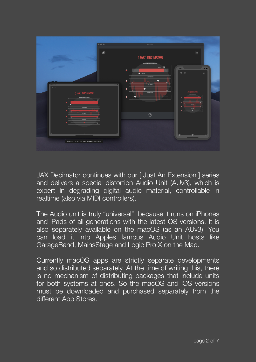

JAX Decimator continues with our [ Just An Extension ] series and delivers a special distortion Audio Unit (AUv3), which is expert in degrading digital audio material, controllable in realtime (also via MIDI controllers).

The Audio unit is truly "universal", because it runs on iPhones and iPads of all generations with the latest OS versions. It is also separately available on the macOS (as an AUv3). You can load it into Apples famous Audio Unit hosts like GarageBand, MainsStage and Logic Pro X on the Mac.

Currently macOS apps are strictly separate developments and so distributed separately. At the time of writing this, there is no mechanism of distributing packages that include units for both systems at ones. So the macOS and iOS versions must be downloaded and purchased separately from the different App Stores.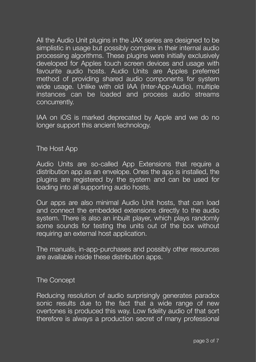All the Audio Unit plugins in the JAX series are designed to be simplistic in usage but possibly complex in their internal audio processing algorithms. These plugins were initially exclusively developed for Apples touch screen devices and usage with favourite audio hosts. Audio Units are Apples preferred method of providing shared audio components for system wide usage. Unlike with old IAA (Inter-App-Audio), multiple instances can be loaded and process audio streams concurrently.

IAA on iOS is marked deprecated by Apple and we do no longer support this ancient technology.

#### The Host App

Audio Units are so-called App Extensions that require a distribution app as an envelope. Ones the app is installed, the plugins are registered by the system and can be used for loading into all supporting audio hosts.

Our apps are also minimal Audio Unit hosts, that can load and connect the embedded extensions directly to the audio system. There is also an inbuilt player, which plays randomly some sounds for testing the units out of the box without requiring an external host application.

The manuals, in-app-purchases and possibly other resources are available inside these distribution apps.

#### The Concept

Reducing resolution of audio surprisingly generates paradox sonic results due to the fact that a wide range of new overtones is produced this way. Low fidelity audio of that sort therefore is always a production secret of many professional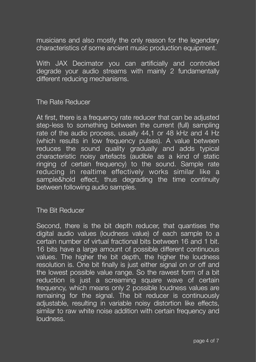musicians and also mostly the only reason for the legendary characteristics of some ancient music production equipment.

With JAX Decimator you can artificially and controlled degrade your audio streams with mainly 2 fundamentally different reducing mechanisms.

### The Rate Reducer

At first, there is a frequency rate reducer that can be adjusted step-less to something between the current (full) sampling rate of the audio process, usually 44,1 or 48 kHz and 4 Hz (which results in low frequency pulses). A value between reduces the sound quality gradually and adds typical characteristic noisy artefacts (audible as a kind of static ringing of certain frequency) to the sound. Sample rate reducing in realtime effectively works similar like a sample&hold effect, thus degrading the time continuity between following audio samples.

#### The Bit Reducer

Second, there is the bit depth reducer, that quantises the digital audio values (loudness value) of each sample to a certain number of virtual fractional bits between 16 and 1 bit. 16 bits have a large amount of possible different continuous values. The higher the bit depth, the higher the loudness resolution is. One bit finally is just either signal on or off and the lowest possible value range. So the rawest form of a bit reduction is just a screaming square wave of certain frequency, which means only 2 possible loudness values are remaining for the signal. The bit reducer is continuously adiustable, resulting in variable noisy distortion like effects, similar to raw white noise addition with certain frequency and loudness.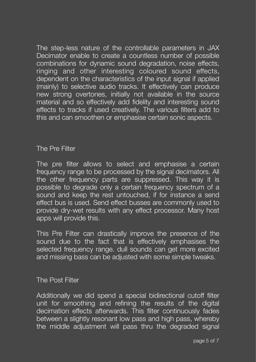The step-less nature of the controllable parameters in JAX Decimator enable to create a countless number of possible combinations for dynamic sound degradation, noise effects, ringing and other interesting coloured sound effects, dependent on the characteristics of the input signal if applied (mainly) to selective audio tracks. It effectively can produce new strong overtones, initially not available in the source material and so effectively add fidelity and interesting sound effects to tracks if used creatively. The various filters add to this and can smoothen or emphasise certain sonic aspects.

## The Pre Filter

The pre filter allows to select and emphasise a certain frequency range to be processed by the signal decimators. All the other frequency parts are suppressed. This way it is possible to degrade only a certain frequency spectrum of a sound and keep the rest untouched, if for instance a send effect bus is used. Send effect busses are commonly used to provide dry-wet results with any effect processor. Many host apps will provide this.

This Pre Filter can drastically improve the presence of the sound due to the fact that is effectively emphasises the selected frequency range. dull sounds can get more excited and missing bass can be adjusted with some simple tweaks.

#### The Post Filter

Additionally we did spend a special bidirectional cutoff filter unit for smoothing and refining the results of the digital decimation effects afterwards. This filter continuously fades between a slightly resonant low pass and high pass, whereby the middle adjustment will pass thru the degraded signal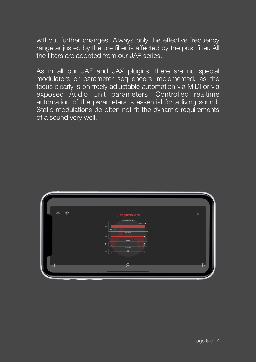without further changes. Always only the effective frequency range adjusted by the pre filter is affected by the post filter. All the filters are adopted from our JAF series.

As in all our JAF and JAX plugins, there are no special modulators or parameter sequencers implemented, as the focus clearly is on freely adjustable automation via MIDI or via exposed Audio Unit parameters. Controlled realtime automation of the parameters is essential for a living sound. Static modulations do often not fit the dynamic requirements of a sound very well.